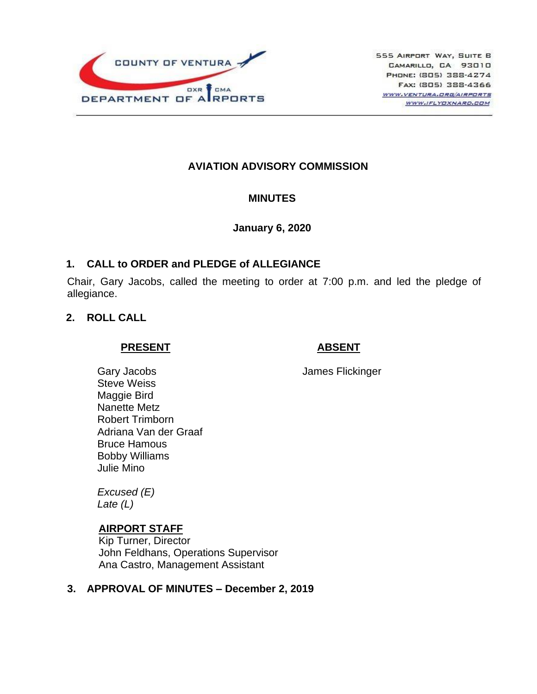

# **AVIATION ADVISORY COMMISSION**

### **MINUTES**

### **January 6, 2020**

### **1. CALL to ORDER and PLEDGE of ALLEGIANCE**

Chair, Gary Jacobs, called the meeting to order at 7:00 p.m. and led the pledge of allegiance.

### **2. ROLL CALL**

#### **PRESENT**

### **ABSENT**

James Flickinger

Gary Jacobs Steve Weiss Maggie Bird Nanette Metz Robert Trimborn Adriana Van der Graaf Bruce Hamous Bobby Williams Julie Mino

*Excused (E) Late (L)*

## **AIRPORT STAFF**

Kip Turner, Director John Feldhans, Operations Supervisor Ana Castro, Management Assistant

### **3. APPROVAL OF MINUTES – December 2, 2019**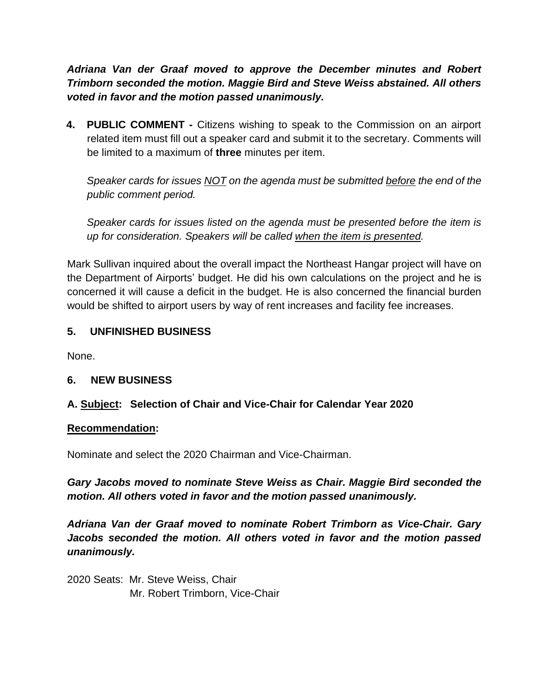*Adriana Van der Graaf moved to approve the December minutes and Robert Trimborn seconded the motion. Maggie Bird and Steve Weiss abstained. All others voted in favor and the motion passed unanimously.*

**4. PUBLIC COMMENT -** Citizens wishing to speak to the Commission on an airport related item must fill out a speaker card and submit it to the secretary. Comments will be limited to a maximum of **three** minutes per item.

*Speaker cards for issues NOT on the agenda must be submitted before the end of the public comment period.* 

*Speaker cards for issues listed on the agenda must be presented before the item is up for consideration. Speakers will be called when the item is presented.*

Mark Sullivan inquired about the overall impact the Northeast Hangar project will have on the Department of Airports' budget. He did his own calculations on the project and he is concerned it will cause a deficit in the budget. He is also concerned the financial burden would be shifted to airport users by way of rent increases and facility fee increases.

## **5. UNFINISHED BUSINESS**

None.

## **6. NEW BUSINESS**

## **A. Subject: Selection of Chair and Vice-Chair for Calendar Year 2020**

### **Recommendation:**

Nominate and select the 2020 Chairman and Vice-Chairman.

*Gary Jacobs moved to nominate Steve Weiss as Chair. Maggie Bird seconded the motion. All others voted in favor and the motion passed unanimously.* 

*Adriana Van der Graaf moved to nominate Robert Trimborn as Vice-Chair. Gary Jacobs seconded the motion. All others voted in favor and the motion passed unanimously.*

2020 Seats: Mr. Steve Weiss, Chair Mr. Robert Trimborn, Vice-Chair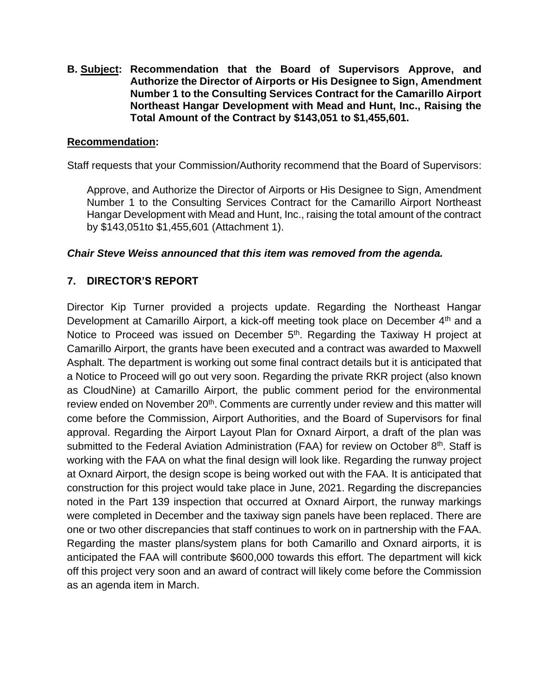**B. Subject: Recommendation that the Board of Supervisors Approve, and Authorize the Director of Airports or His Designee to Sign, Amendment Number 1 to the Consulting Services Contract for the Camarillo Airport Northeast Hangar Development with Mead and Hunt, Inc., Raising the Total Amount of the Contract by \$143,051 to \$1,455,601.**

### **Recommendation:**

Staff requests that your Commission/Authority recommend that the Board of Supervisors:

Approve, and Authorize the Director of Airports or His Designee to Sign, Amendment Number 1 to the Consulting Services Contract for the Camarillo Airport Northeast Hangar Development with Mead and Hunt, Inc., raising the total amount of the contract by \$143,051to \$1,455,601 (Attachment 1).

### *Chair Steve Weiss announced that this item was removed from the agenda.*

## **7. DIRECTOR'S REPORT**

Director Kip Turner provided a projects update. Regarding the Northeast Hangar Development at Camarillo Airport, a kick-off meeting took place on December 4<sup>th</sup> and a Notice to Proceed was issued on December 5<sup>th</sup>. Regarding the Taxiway H project at Camarillo Airport, the grants have been executed and a contract was awarded to Maxwell Asphalt. The department is working out some final contract details but it is anticipated that a Notice to Proceed will go out very soon. Regarding the private RKR project (also known as CloudNine) at Camarillo Airport, the public comment period for the environmental review ended on November 20<sup>th</sup>. Comments are currently under review and this matter will come before the Commission, Airport Authorities, and the Board of Supervisors for final approval. Regarding the Airport Layout Plan for Oxnard Airport, a draft of the plan was submitted to the Federal Aviation Administration (FAA) for review on October 8<sup>th</sup>. Staff is working with the FAA on what the final design will look like. Regarding the runway project at Oxnard Airport, the design scope is being worked out with the FAA. It is anticipated that construction for this project would take place in June, 2021. Regarding the discrepancies noted in the Part 139 inspection that occurred at Oxnard Airport, the runway markings were completed in December and the taxiway sign panels have been replaced. There are one or two other discrepancies that staff continues to work on in partnership with the FAA. Regarding the master plans/system plans for both Camarillo and Oxnard airports, it is anticipated the FAA will contribute \$600,000 towards this effort. The department will kick off this project very soon and an award of contract will likely come before the Commission as an agenda item in March.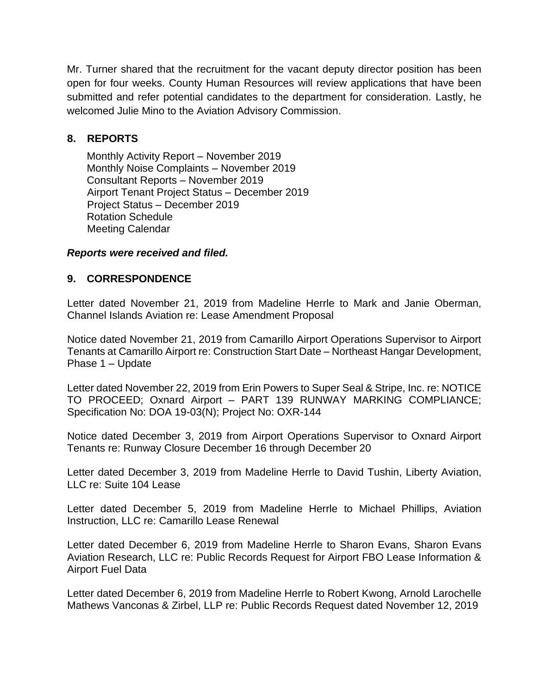Mr. Turner shared that the recruitment for the vacant deputy director position has been open for four weeks. County Human Resources will review applications that have been submitted and refer potential candidates to the department for consideration. Lastly, he welcomed Julie Mino to the Aviation Advisory Commission.

## **8. REPORTS**

Monthly Activity Report – November 2019 Monthly Noise Complaints – November 2019 Consultant Reports – November 2019 Airport Tenant Project Status – December 2019 Project Status – December 2019 Rotation Schedule Meeting Calendar

### *Reports were received and filed.*

## **9. CORRESPONDENCE**

Letter dated November 21, 2019 from Madeline Herrle to Mark and Janie Oberman, Channel Islands Aviation re: Lease Amendment Proposal

Notice dated November 21, 2019 from Camarillo Airport Operations Supervisor to Airport Tenants at Camarillo Airport re: Construction Start Date – Northeast Hangar Development, Phase 1 – Update

Letter dated November 22, 2019 from Erin Powers to Super Seal & Stripe, Inc. re: NOTICE TO PROCEED; Oxnard Airport – PART 139 RUNWAY MARKING COMPLIANCE; Specification No: DOA 19-03(N); Project No: OXR-144

Notice dated December 3, 2019 from Airport Operations Supervisor to Oxnard Airport Tenants re: Runway Closure December 16 through December 20

Letter dated December 3, 2019 from Madeline Herrle to David Tushin, Liberty Aviation, LLC re: Suite 104 Lease

Letter dated December 5, 2019 from Madeline Herrle to Michael Phillips, Aviation Instruction, LLC re: Camarillo Lease Renewal

Letter dated December 6, 2019 from Madeline Herrle to Sharon Evans, Sharon Evans Aviation Research, LLC re: Public Records Request for Airport FBO Lease Information & Airport Fuel Data

Letter dated December 6, 2019 from Madeline Herrle to Robert Kwong, Arnold Larochelle Mathews Vanconas & Zirbel, LLP re: Public Records Request dated November 12, 2019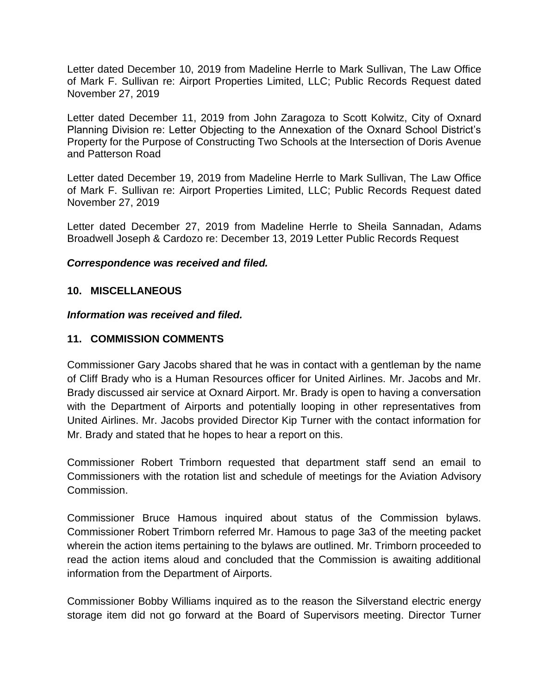Letter dated December 10, 2019 from Madeline Herrle to Mark Sullivan, The Law Office of Mark F. Sullivan re: Airport Properties Limited, LLC; Public Records Request dated November 27, 2019

Letter dated December 11, 2019 from John Zaragoza to Scott Kolwitz, City of Oxnard Planning Division re: Letter Objecting to the Annexation of the Oxnard School District's Property for the Purpose of Constructing Two Schools at the Intersection of Doris Avenue and Patterson Road

Letter dated December 19, 2019 from Madeline Herrle to Mark Sullivan, The Law Office of Mark F. Sullivan re: Airport Properties Limited, LLC; Public Records Request dated November 27, 2019

Letter dated December 27, 2019 from Madeline Herrle to Sheila Sannadan, Adams Broadwell Joseph & Cardozo re: December 13, 2019 Letter Public Records Request

### *Correspondence was received and filed.*

### **10. MISCELLANEOUS**

#### *Information was received and filed.*

### **11. COMMISSION COMMENTS**

Commissioner Gary Jacobs shared that he was in contact with a gentleman by the name of Cliff Brady who is a Human Resources officer for United Airlines. Mr. Jacobs and Mr. Brady discussed air service at Oxnard Airport. Mr. Brady is open to having a conversation with the Department of Airports and potentially looping in other representatives from United Airlines. Mr. Jacobs provided Director Kip Turner with the contact information for Mr. Brady and stated that he hopes to hear a report on this.

Commissioner Robert Trimborn requested that department staff send an email to Commissioners with the rotation list and schedule of meetings for the Aviation Advisory Commission.

Commissioner Bruce Hamous inquired about status of the Commission bylaws. Commissioner Robert Trimborn referred Mr. Hamous to page 3a3 of the meeting packet wherein the action items pertaining to the bylaws are outlined. Mr. Trimborn proceeded to read the action items aloud and concluded that the Commission is awaiting additional information from the Department of Airports.

Commissioner Bobby Williams inquired as to the reason the Silverstand electric energy storage item did not go forward at the Board of Supervisors meeting. Director Turner